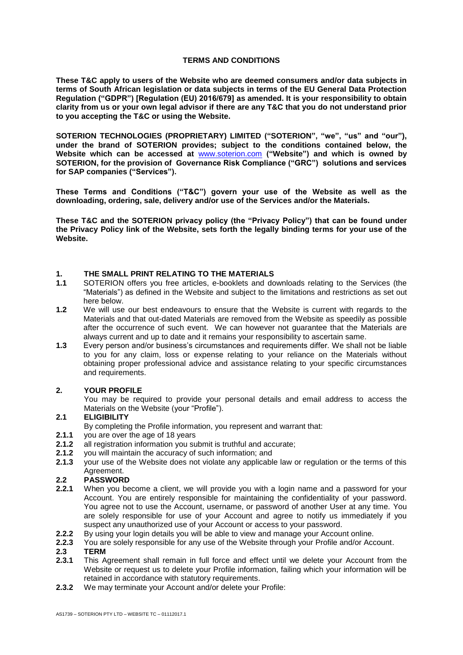#### **TERMS AND CONDITIONS**

**These T&C apply to users of the Website who are deemed consumers and/or data subjects in terms of South African legislation or data subjects in terms of the EU General Data Protection Regulation ("GDPR") [Regulation (EU) 2016/679] as amended. It is your responsibility to obtain clarity from us or your own legal advisor if there are any T&C that you do not understand prior to you accepting the T&C or using the Website.**

**SOTERION TECHNOLOGIES (PROPRIETARY) LIMITED ("SOTERION", "we", "us" and "our"), under the brand of SOTERION provides; subject to the conditions contained below, the Website which can be accessed at** [www.soterion.com](http://www.soterion.com/) **("Website") and which is owned by SOTERION, for the provision of Governance Risk Compliance ("GRC") solutions and services for SAP companies ("Services").**

**These Terms and Conditions ("T&C") govern your use of the Website as well as the downloading, ordering, sale, delivery and/or use of the Services and/or the Materials.**

**These T&C and the SOTERION privacy policy (the "Privacy Policy") that can be found under the Privacy Policy link of the Website, sets forth the legally binding terms for your use of the Website.**

## **1. THE SMALL PRINT RELATING TO THE MATERIALS**

- **1.1** SOTERION offers you free articles, e-booklets and downloads relating to the Services (the "Materials") as defined in the Website and subject to the limitations and restrictions as set out here below.
- **1.2** We will use our best endeavours to ensure that the Website is current with regards to the Materials and that out-dated Materials are removed from the Website as speedily as possible after the occurrence of such event. We can however not guarantee that the Materials are always current and up to date and it remains your responsibility to ascertain same.
- **1.3** Every person and/or business's circumstances and requirements differ. We shall not be liable to you for any claim, loss or expense relating to your reliance on the Materials without obtaining proper professional advice and assistance relating to your specific circumstances and requirements.

#### **2. YOUR PROFILE**

You may be required to provide your personal details and email address to access the Materials on the Website (your "Profile").

#### **2.1 ELIGIBILITY**

- By completing the Profile information, you represent and warrant that:
- **2.1.1** you are over the age of 18 years
- **2.1.2** all registration information you submit is truthful and accurate;
- **2.1.2** you will maintain the accuracy of such information; and
- **2.1.3** your use of the Website does not violate any applicable law or regulation or the terms of this Agreement.

# **2.2 PASSWORD**

- **2.2.1** When you become a client, we will provide you with a login name and a password for your Account. You are entirely responsible for maintaining the confidentiality of your password. You agree not to use the Account, username, or password of another User at any time. You are solely responsible for use of your Account and agree to notify us immediately if you suspect any unauthorized use of your Account or access to your password.
- **2.2.2** By using your login details you will be able to view and manage your Account online.<br>**2.2.3** You are solely responsible for any use of the Website through your Profile and/or Acc
- **2.2.3** You are solely responsible for any use of the Website through your Profile and/or Account.

#### **2.3 TERM**

- **2.3.1** This Agreement shall remain in full force and effect until we delete your Account from the Website or request us to delete your Profile information, failing which your information will be retained in accordance with statutory requirements.
- **2.3.2** We may terminate your Account and/or delete your Profile: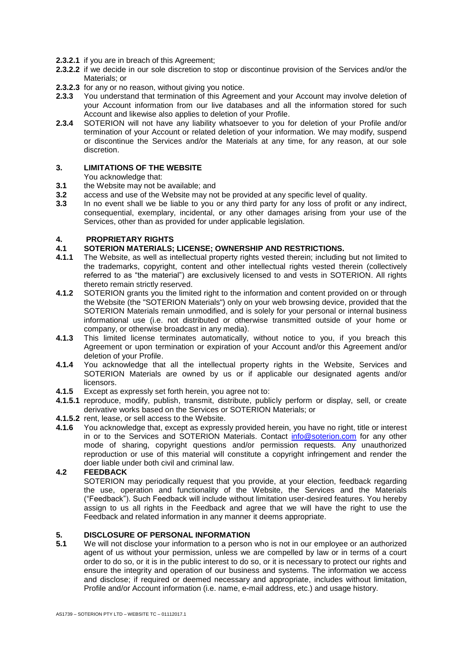- **2.3.2.1** if you are in breach of this Agreement;
- **2.3.2.2** if we decide in our sole discretion to stop or discontinue provision of the Services and/or the Materials; or
- **2.3.2.3** for any or no reason, without giving you notice.
- **2.3.3** You understand that termination of this Agreement and your Account may involve deletion of your Account information from our live databases and all the information stored for such Account and likewise also applies to deletion of your Profile.
- **2.3.4** SOTERION will not have any liability whatsoever to you for deletion of your Profile and/or termination of your Account or related deletion of your information. We may modify, suspend or discontinue the Services and/or the Materials at any time, for any reason, at our sole discretion.

## **3. LIMITATIONS OF THE WEBSITE**

You acknowledge that:

- **3.1** the Website may not be available; and
- **3.2** access and use of the Website may not be provided at any specific level of quality.
- **3.3** In no event shall we be liable to you or any third party for any loss of profit or any indirect, consequential, exemplary, incidental, or any other damages arising from your use of the Services, other than as provided for under applicable legislation.

## **4. PROPRIETARY RIGHTS**

## **4.1 SOTERION MATERIALS; LICENSE; OWNERSHIP AND RESTRICTIONS.**

- **4.1.1** The Website, as well as intellectual property rights vested therein; including but not limited to the trademarks, copyright, content and other intellectual rights vested therein (collectively referred to as "the material") are exclusively licensed to and vests in SOTERION. All rights thereto remain strictly reserved.
- **4.1.2** SOTERION grants you the limited right to the information and content provided on or through the Website (the "SOTERION Materials") only on your web browsing device, provided that the SOTERION Materials remain unmodified, and is solely for your personal or internal business informational use (i.e. not distributed or otherwise transmitted outside of your home or company, or otherwise broadcast in any media).
- **4.1.3** This limited license terminates automatically, without notice to you, if you breach this Agreement or upon termination or expiration of your Account and/or this Agreement and/or deletion of your Profile.
- **4.1.4** You acknowledge that all the intellectual property rights in the Website, Services and SOTERION Materials are owned by us or if applicable our designated agents and/or licensors.
- **4.1.5** Except as expressly set forth herein, you agree not to:
- **4.1.5.1** reproduce, modify, publish, transmit, distribute, publicly perform or display, sell, or create derivative works based on the Services or SOTERION Materials; or
- **4.1.5.2** rent, lease, or sell access to the Website.
- **4.1.6** You acknowledge that, except as expressly provided herein, you have no right, title or interest in or to the Services and SOTERION Materials. Contact [info@soterion.com](mailto:info@soterion.com) for any other mode of sharing, copyright questions and/or permission requests. Any unauthorized reproduction or use of this material will constitute a copyright infringement and render the doer liable under both civil and criminal law.

# **4.2 FEEDBACK**

SOTERION may periodically request that you provide, at your election, feedback regarding the use, operation and functionality of the Website, the Services and the Materials ("Feedback"). Such Feedback will include without limitation user-desired features. You hereby assign to us all rights in the Feedback and agree that we will have the right to use the Feedback and related information in any manner it deems appropriate.

## **5. DISCLOSURE OF PERSONAL INFORMATION**

**5.1** We will not disclose your information to a person who is not in our employee or an authorized agent of us without your permission, unless we are compelled by law or in terms of a court order to do so, or it is in the public interest to do so, or it is necessary to protect our rights and ensure the integrity and operation of our business and systems. The information we access and disclose; if required or deemed necessary and appropriate, includes without limitation, Profile and/or Account information (i.e. name, e-mail address, etc.) and usage history.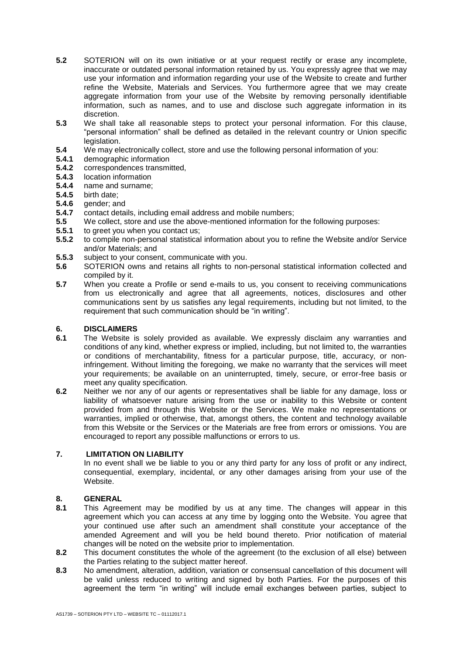- **5.2** SOTERION will on its own initiative or at your request rectify or erase any incomplete, inaccurate or outdated personal information retained by us. You expressly agree that we may use your information and information regarding your use of the Website to create and further refine the Website, Materials and Services. You furthermore agree that we may create aggregate information from your use of the Website by removing personally identifiable information, such as names, and to use and disclose such aggregate information in its discretion.
- **5.3** We shall take all reasonable steps to protect your personal information. For this clause, "personal information" shall be defined as detailed in the relevant country or Union specific legislation.
- **5.4** We may electronically collect, store and use the following personal information of you:<br>**5.4.1** demographic information
- **5.4.1** demographic information
- **5.4.2** correspondences transmitted,
- **5.4.3** location information
- **5.4.4** name and surname;
- **5.4.5** birth date;
- **5.4.6 gender**; and
- **5.4.7** contact details, including email address and mobile numbers;
- **5.5** We collect, store and use the above-mentioned information for the following purposes:<br>**5.5.1** to greet you when you contact us:
- **5.5.1** to greet you when you contact us;<br>**5.5.2** to compile non-personal statistical
- **5.5.2** to compile non-personal statistical information about you to refine the Website and/or Service and/or Materials; and
- **5.5.3** subject to your consent, communicate with you.
- **5.6** SOTERION owns and retains all rights to non-personal statistical information collected and compiled by it.
- **5.7** When you create a Profile or send e-mails to us, you consent to receiving communications from us electronically and agree that all agreements, notices, disclosures and other communications sent by us satisfies any legal requirements, including but not limited, to the requirement that such communication should be "in writing".

#### **6. DISCLAIMERS**

- **6.1** The Website is solely provided as available. We expressly disclaim any warranties and conditions of any kind, whether express or implied, including, but not limited to, the warranties or conditions of merchantability, fitness for a particular purpose, title, accuracy, or noninfringement. Without limiting the foregoing, we make no warranty that the services will meet your requirements; be available on an uninterrupted, timely, secure, or error-free basis or meet any quality specification.
- **6.2** Neither we nor any of our agents or representatives shall be liable for any damage, loss or liability of whatsoever nature arising from the use or inability to this Website or content provided from and through this Website or the Services. We make no representations or warranties, implied or otherwise, that, amongst others, the content and technology available from this Website or the Services or the Materials are free from errors or omissions. You are encouraged to report any possible malfunctions or errors to us.

# **7. LIMITATION ON LIABILITY**

In no event shall we be liable to you or any third party for any loss of profit or any indirect, consequential, exemplary, incidental, or any other damages arising from your use of the Website.

# 8. **GENERAL**<br>8.1 This Agree

- **8.1** This Agreement may be modified by us at any time. The changes will appear in this agreement which you can access at any time by logging onto the Website. You agree that your continued use after such an amendment shall constitute your acceptance of the amended Agreement and will you be held bound thereto. Prior notification of material changes will be noted on the website prior to implementation.
- **8.2** This document constitutes the whole of the agreement (to the exclusion of all else) between the Parties relating to the subject matter hereof.
- **8.3** No amendment, alteration, addition, variation or consensual cancellation of this document will be valid unless reduced to writing and signed by both Parties. For the purposes of this agreement the term "in writing" will include email exchanges between parties, subject to